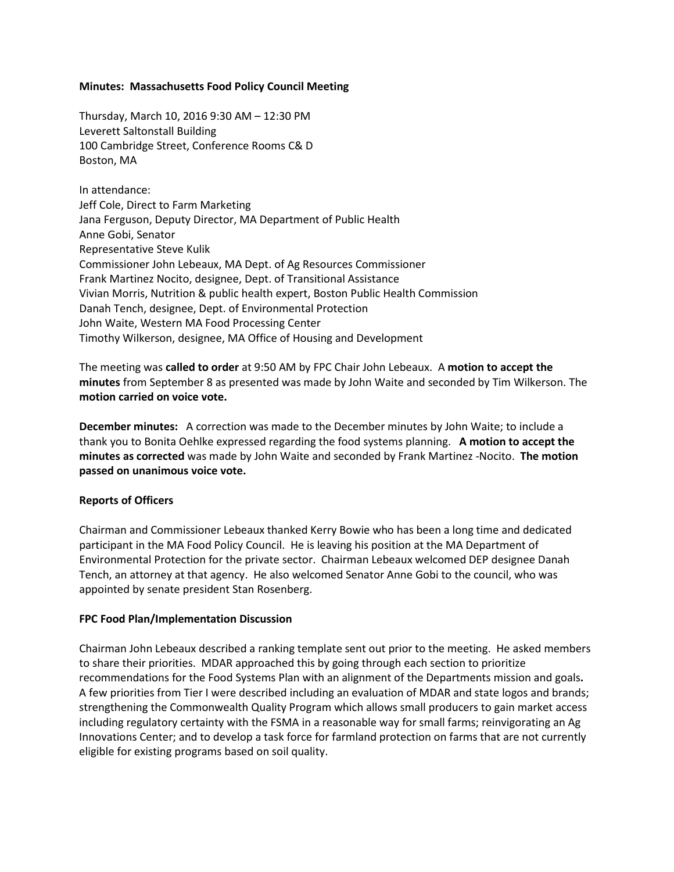## **Minutes: Massachusetts Food Policy Council Meeting**

Thursday, March 10, 2016 9:30 AM – 12:30 PM Leverett Saltonstall Building 100 Cambridge Street, Conference Rooms C& D Boston, MA

In attendance: Jeff Cole, Direct to Farm Marketing Jana Ferguson, Deputy Director, MA Department of Public Health Anne Gobi, Senator Representative Steve Kulik Commissioner John Lebeaux, MA Dept. of Ag Resources Commissioner Frank Martinez Nocito, designee, Dept. of Transitional Assistance Vivian Morris, Nutrition & public health expert, Boston Public Health Commission Danah Tench, designee, Dept. of Environmental Protection John Waite, Western MA Food Processing Center Timothy Wilkerson, designee, MA Office of Housing and Development

The meeting was **called to order** at 9:50 AM by FPC Chair John Lebeaux. A **motion to accept the minutes** from September 8 as presented was made by John Waite and seconded by Tim Wilkerson. The **motion carried on voice vote.** 

**December minutes:** A correction was made to the December minutes by John Waite; to include a thank you to Bonita Oehlke expressed regarding the food systems planning. **A motion to accept the minutes as corrected** was made by John Waite and seconded by Frank Martinez -Nocito. **The motion passed on unanimous voice vote.** 

# **Reports of Officers**

Chairman and Commissioner Lebeaux thanked Kerry Bowie who has been a long time and dedicated participant in the MA Food Policy Council. He is leaving his position at the MA Department of Environmental Protection for the private sector. Chairman Lebeaux welcomed DEP designee Danah Tench, an attorney at that agency. He also welcomed Senator Anne Gobi to the council, who was appointed by senate president Stan Rosenberg.

### **FPC Food Plan/Implementation Discussion**

Chairman John Lebeaux described a ranking template sent out prior to the meeting. He asked members to share their priorities. MDAR approached this by going through each section to prioritize recommendations for the Food Systems Plan with an alignment of the Departments mission and goals**.**  A few priorities from Tier I were described including an evaluation of MDAR and state logos and brands; strengthening the Commonwealth Quality Program which allows small producers to gain market access including regulatory certainty with the FSMA in a reasonable way for small farms; reinvigorating an Ag Innovations Center; and to develop a task force for farmland protection on farms that are not currently eligible for existing programs based on soil quality.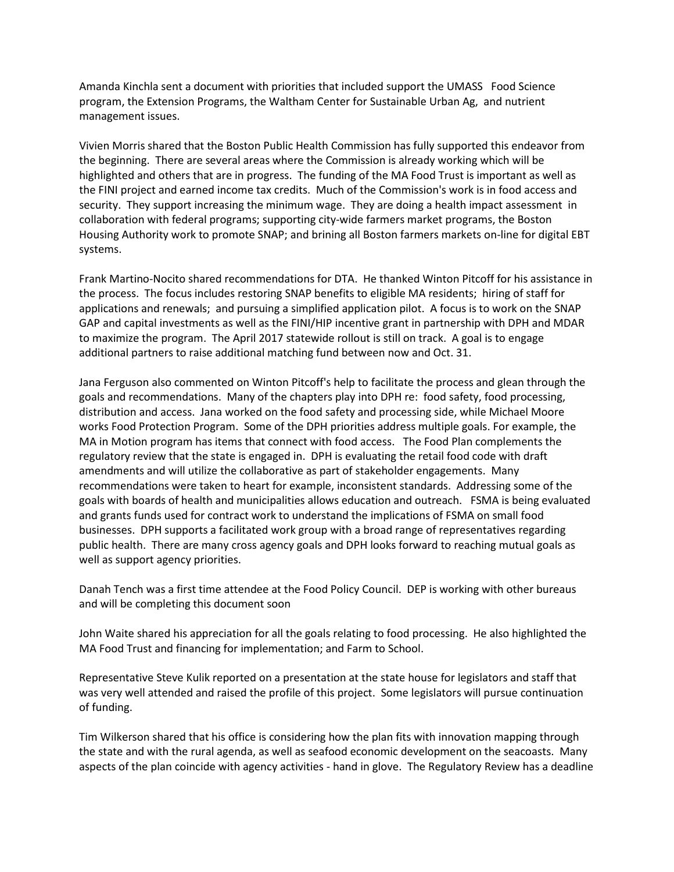Amanda Kinchla sent a document with priorities that included support the UMASS Food Science program, the Extension Programs, the Waltham Center for Sustainable Urban Ag, and nutrient management issues.

Vivien Morris shared that the Boston Public Health Commission has fully supported this endeavor from the beginning. There are several areas where the Commission is already working which will be highlighted and others that are in progress. The funding of the MA Food Trust is important as well as the FINI project and earned income tax credits. Much of the Commission's work is in food access and security. They support increasing the minimum wage. They are doing a health impact assessment in collaboration with federal programs; supporting city-wide farmers market programs, the Boston Housing Authority work to promote SNAP; and brining all Boston farmers markets on-line for digital EBT systems.

Frank Martino-Nocito shared recommendations for DTA. He thanked Winton Pitcoff for his assistance in the process. The focus includes restoring SNAP benefits to eligible MA residents; hiring of staff for applications and renewals; and pursuing a simplified application pilot. A focus is to work on the SNAP GAP and capital investments as well as the FINI/HIP incentive grant in partnership with DPH and MDAR to maximize the program. The April 2017 statewide rollout is still on track. A goal is to engage additional partners to raise additional matching fund between now and Oct. 31.

Jana Ferguson also commented on Winton Pitcoff's help to facilitate the process and glean through the goals and recommendations. Many of the chapters play into DPH re: food safety, food processing, distribution and access. Jana worked on the food safety and processing side, while Michael Moore works Food Protection Program. Some of the DPH priorities address multiple goals. For example, the MA in Motion program has items that connect with food access. The Food Plan complements the regulatory review that the state is engaged in. DPH is evaluating the retail food code with draft amendments and will utilize the collaborative as part of stakeholder engagements. Many recommendations were taken to heart for example, inconsistent standards. Addressing some of the goals with boards of health and municipalities allows education and outreach. FSMA is being evaluated and grants funds used for contract work to understand the implications of FSMA on small food businesses. DPH supports a facilitated work group with a broad range of representatives regarding public health. There are many cross agency goals and DPH looks forward to reaching mutual goals as well as support agency priorities.

Danah Tench was a first time attendee at the Food Policy Council. DEP is working with other bureaus and will be completing this document soon

John Waite shared his appreciation for all the goals relating to food processing. He also highlighted the MA Food Trust and financing for implementation; and Farm to School.

Representative Steve Kulik reported on a presentation at the state house for legislators and staff that was very well attended and raised the profile of this project. Some legislators will pursue continuation of funding.

Tim Wilkerson shared that his office is considering how the plan fits with innovation mapping through the state and with the rural agenda, as well as seafood economic development on the seacoasts. Many aspects of the plan coincide with agency activities - hand in glove. The Regulatory Review has a deadline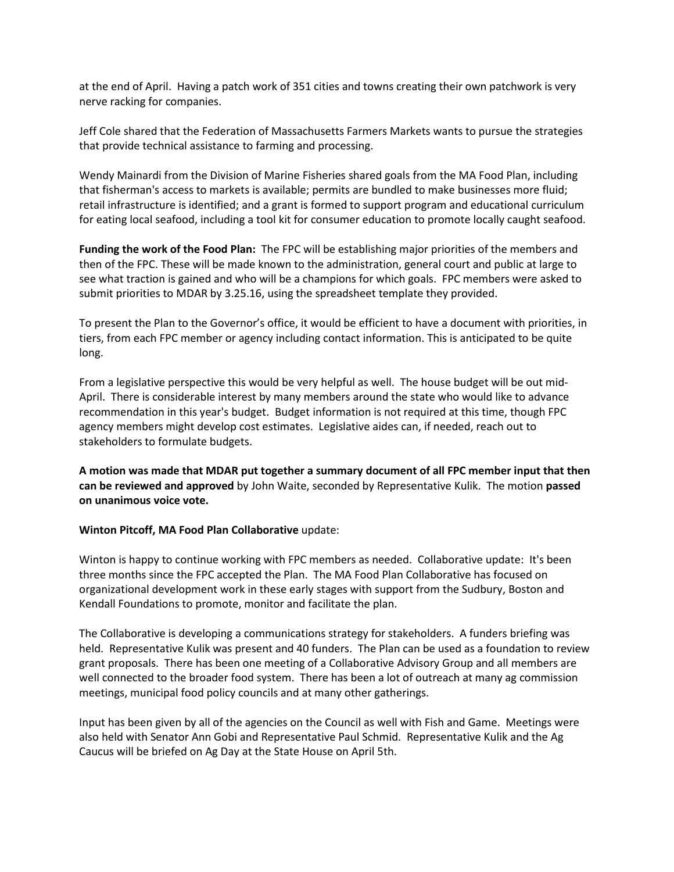at the end of April. Having a patch work of 351 cities and towns creating their own patchwork is very nerve racking for companies.

Jeff Cole shared that the Federation of Massachusetts Farmers Markets wants to pursue the strategies that provide technical assistance to farming and processing.

Wendy Mainardi from the Division of Marine Fisheries shared goals from the MA Food Plan, including that fisherman's access to markets is available; permits are bundled to make businesses more fluid; retail infrastructure is identified; and a grant is formed to support program and educational curriculum for eating local seafood, including a tool kit for consumer education to promote locally caught seafood.

**Funding the work of the Food Plan:** The FPC will be establishing major priorities of the members and then of the FPC. These will be made known to the administration, general court and public at large to see what traction is gained and who will be a champions for which goals. FPC members were asked to submit priorities to MDAR by 3.25.16, using the spreadsheet template they provided.

To present the Plan to the Governor's office, it would be efficient to have a document with priorities, in tiers, from each FPC member or agency including contact information. This is anticipated to be quite long.

From a legislative perspective this would be very helpful as well. The house budget will be out mid-April. There is considerable interest by many members around the state who would like to advance recommendation in this year's budget. Budget information is not required at this time, though FPC agency members might develop cost estimates. Legislative aides can, if needed, reach out to stakeholders to formulate budgets.

**A motion was made that MDAR put together a summary document of all FPC member input that then can be reviewed and approved** by John Waite, seconded by Representative Kulik. The motion **passed on unanimous voice vote.**

### **Winton Pitcoff, MA Food Plan Collaborative** update:

Winton is happy to continue working with FPC members as needed. Collaborative update: It's been three months since the FPC accepted the Plan. The MA Food Plan Collaborative has focused on organizational development work in these early stages with support from the Sudbury, Boston and Kendall Foundations to promote, monitor and facilitate the plan.

The Collaborative is developing a communications strategy for stakeholders. A funders briefing was held. Representative Kulik was present and 40 funders. The Plan can be used as a foundation to review grant proposals. There has been one meeting of a Collaborative Advisory Group and all members are well connected to the broader food system. There has been a lot of outreach at many ag commission meetings, municipal food policy councils and at many other gatherings.

Input has been given by all of the agencies on the Council as well with Fish and Game. Meetings were also held with Senator Ann Gobi and Representative Paul Schmid. Representative Kulik and the Ag Caucus will be briefed on Ag Day at the State House on April 5th.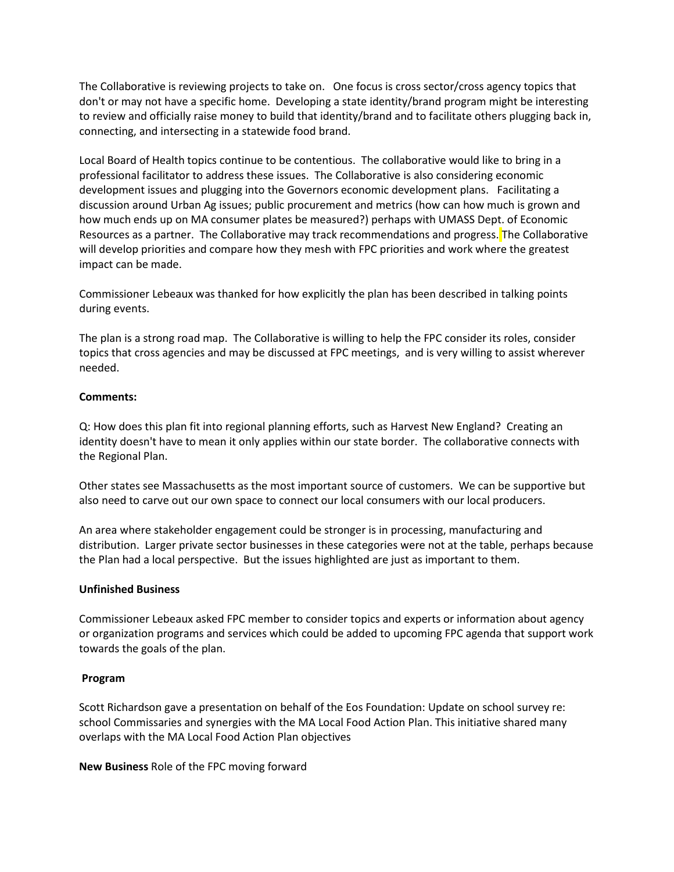The Collaborative is reviewing projects to take on. One focus is cross sector/cross agency topics that don't or may not have a specific home. Developing a state identity/brand program might be interesting to review and officially raise money to build that identity/brand and to facilitate others plugging back in, connecting, and intersecting in a statewide food brand.

Local Board of Health topics continue to be contentious. The collaborative would like to bring in a professional facilitator to address these issues. The Collaborative is also considering economic development issues and plugging into the Governors economic development plans. Facilitating a discussion around Urban Ag issues; public procurement and metrics (how can how much is grown and how much ends up on MA consumer plates be measured?) perhaps with UMASS Dept. of Economic Resources as a partner. The Collaborative may track recommendations and progress. The Collaborative will develop priorities and compare how they mesh with FPC priorities and work where the greatest impact can be made.

Commissioner Lebeaux was thanked for how explicitly the plan has been described in talking points during events.

The plan is a strong road map. The Collaborative is willing to help the FPC consider its roles, consider topics that cross agencies and may be discussed at FPC meetings, and is very willing to assist wherever needed.

## **Comments:**

Q: How does this plan fit into regional planning efforts, such as Harvest New England? Creating an identity doesn't have to mean it only applies within our state border. The collaborative connects with the Regional Plan.

Other states see Massachusetts as the most important source of customers. We can be supportive but also need to carve out our own space to connect our local consumers with our local producers.

An area where stakeholder engagement could be stronger is in processing, manufacturing and distribution. Larger private sector businesses in these categories were not at the table, perhaps because the Plan had a local perspective. But the issues highlighted are just as important to them.

### **Unfinished Business**

Commissioner Lebeaux asked FPC member to consider topics and experts or information about agency or organization programs and services which could be added to upcoming FPC agenda that support work towards the goals of the plan.

### **Program**

Scott Richardson gave a presentation on behalf of the Eos Foundation: Update on school survey re: school Commissaries and synergies with the MA Local Food Action Plan. This initiative shared many overlaps with the MA Local Food Action Plan objectives

**New Business** Role of the FPC moving forward